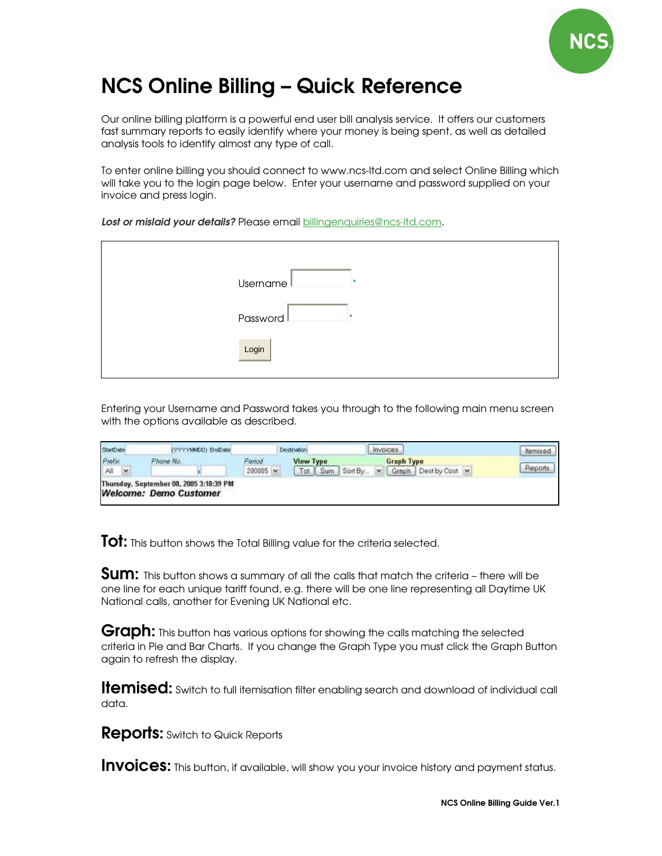

# NCS Online Billing – Quick Reference

Our online billing platform is a powerful end user bill analysis service. It offers our customers fast summary reports to easily identify where your money is being spent, as well as detailed analysis tools to identify almost any type of call.

To enter online billing you should connect to www.ncs-ltd.com and select Online Billing which will take you to the login page below. Enter your username and password supplied on your invoice and press login.

Lost or mislaid your details? Please email billingenquiries@ncs-ltd.com.

| Username   |
|------------|
| Password I |
| Login      |

Entering your Username and Password takes you through to the following main menu screen with the options available as described.

| (YYYYMMDD) EndDate |                 | <b>Destination</b>                      | <i>invoices</i>              | <b>hemised</b>  |
|--------------------|-----------------|-----------------------------------------|------------------------------|-----------------|
| Phone No.          | Period          | <b>View Type</b>                        | <b>Graph Type</b>            |                 |
|                    | $200005$ $\sim$ |                                         | Graph Dest by Cost<br>$\sim$ | Reports         |
|                    |                 | Thursday, September 08, 2005 3:18:39 PM |                              | Tot Sum Sort By |

**Tot:** This button shows the Total Billing value for the criteria selected.

**Sum:** This button shows a summary of all the calls that match the criteria – there will be one line for each unique tariff found, e.g. there will be one line representing all Daytime UK National calls, another for Evening UK National etc.

Graph: This button has various options for showing the calls matching the selected criteria in Pie and Bar Charts. If you change the Graph Type you must click the Graph Button again to refresh the display.

**Itemised:** Switch to full itemisation filter enabling search and download of individual call data.

**Reports:** Switch to Quick Reports

Invoices: This button, if available, will show you your invoice history and payment status.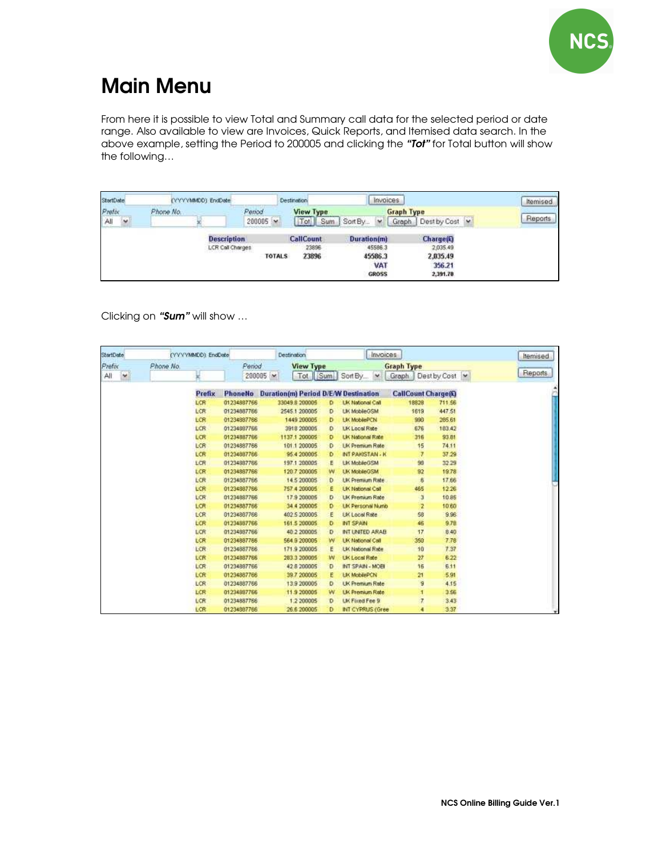

## Main Menu

From here it is possible to view Total and Summary call data for the selected period or date range. Also available to view are Invoices, Quick Reports, and Itemised data search. In the above example, setting the Period to 200005 and clicking the "Tot" for Total button will show the following…

| StartDate               | (YYYYAMOD) EndDate |                                                         | Destination.                       | Invoices                                                        |                                                                | <b>Nemised</b> |
|-------------------------|--------------------|---------------------------------------------------------|------------------------------------|-----------------------------------------------------------------|----------------------------------------------------------------|----------------|
| Prefix<br>$\sim$<br>All | Phone No.          | Penod.<br>$200005$ $\sim$                               | <b>View Type</b><br>Tot II<br>Sum  | Sort By<br>Graph.<br><b>M</b>                                   | <b>Graph Type</b><br>Dest by Cost                              | Reports        |
|                         |                    | <b>Description</b><br>LCR Call Charges<br><b>TOTALS</b> | <b>CallCount</b><br>23896<br>23896 | <b>Duration(m)</b><br>45586.3<br>45586.3<br>VAT<br><b>GROSS</b> | <b>Charge(E)</b><br>2,035.49<br>2,035.49<br>356.21<br>2,391.78 |                |

Clicking on "Sum" will show ...

| <b>StartDate</b> |           | (YYYYMMDD) EndDate |                 | Destination                                 |   | Invoices                 |                            |              | Itemised       |
|------------------|-----------|--------------------|-----------------|---------------------------------------------|---|--------------------------|----------------------------|--------------|----------------|
| Prefix           | Phone No. |                    | Period          | <b>View Type</b>                            |   |                          | <b>Graph Type</b>          |              |                |
| $\sim$<br>All    |           |                    | $200005$ $\sim$ |                                             |   | Tot Sum Sort By<br>×     | Graph                      | Dest by Cost | <b>Reports</b> |
|                  |           | Prefix             | <b>PhoneNo</b>  | <b>Duration(m) Period D/E/W Destination</b> |   |                          | <b>CallCount Charge(C)</b> |              |                |
|                  |           | LCR                | 01234887766     | 33049 8 200005                              | Ð | <b>LK National Call</b>  | 18828                      | 711.56       |                |
|                  |           | LCR                | 01234887766     | 2545 1 200005                               | D | <b>UK MobileGSM</b>      | 1619                       | 447.51       |                |
|                  |           | LCR                | 01234887766     | 1449 200005                                 | Ð | LIK MobilePCN            | 990                        | 265.61       |                |
|                  |           | LCR                | 01234887766     | 3918 208005                                 | Đ | <b>LIK Local Rate</b>    | 676                        | 183.42       |                |
|                  |           | LCR                | 01234887766     | 1137.1.200005                               | D | <b>LK National Rate</b>  | 316                        | 93.B1        |                |
|                  |           | LCR                | 01234887766     | 101 1 200005                                | D | <b>LK Premium Rate</b>   | 15                         | 74.11        |                |
|                  |           | LCR                | 01234887766     | 95.4 200005                                 | ٥ | INT PAKISTAN - K         | 7                          | 37.29        |                |
|                  |           | LCR                | 01234887766     | 197.1.200005                                | Ë | LK MobileGSM             | 99                         | 32.29        |                |
|                  |           | LCR                | 01234887766     | 120.7 200005                                | W | <b>LIK MobileGSM</b>     | 92                         | 19.78        |                |
|                  |           | LCR                | 01234887766     | 14.5 200005                                 | Ð | <b>UK Premium Rate</b>   | $\hat{b}$                  | 17.66        |                |
|                  |           | LCR                | 01234887766     | 757 4 200005                                | £ | <b>LIK National Call</b> | 465                        | 12.26        |                |
|                  |           | LCR                | 01234887766     | 17.9 200005                                 | D | <b>LIK Premium Rate</b>  | э                          | 10.85        |                |
|                  |           | LCR                | 01234887766     | 34 4 200005                                 | D | LIK Personal Numb        | 2                          | 10'60        |                |
|                  |           | LCR                | 01234887766     | 402 5 200005                                | E | <b>EK Local Rate</b>     | 58                         | 9.96         |                |
|                  |           | LCR                | 01234887766     | 161.5 200005                                | D | <b>INT SPAIN</b>         | 46                         | 9.78         |                |
|                  |           | LCR                | 01234887766     | 40 2 200005                                 | D | INT UNITED ARAB          | 17                         | 8.40         |                |
|                  |           | LCR                | 01234887766     | 564 9 200005                                | W | <b>LK National Call</b>  | 350                        | 7.78         |                |
|                  |           | LCR                | 01234887766     | 171 9 200005                                | E | <b>LK National Rate</b>  | 10                         | 7.37         |                |
|                  |           | LCR                | 01234887766     | 283.3 209005                                | w | <b>UK Local Rate</b>     | 27                         | 6.22         |                |
|                  |           | LCR                | 01234887766     | 42 8 200005                                 | D | <b>IBOW - MIARZ THE</b>  | 16                         | 611          |                |
|                  |           | LCR                | 01234887766     | 39.7.200005                                 | E | <b>LIK MobilePCN</b>     | 21                         | 5.91         |                |
|                  |           | LCR                | 01234887766     | 13.9 200005                                 | Ð | <b>UK Premium Rate</b>   | $\overline{9}$             | 4.15         |                |
|                  |           | LCR                | 01234887766     | 11.9 200005                                 | w | <b>LK Premium Rate</b>   | Ŧ                          | 3.56         |                |
|                  |           | LCR                | 01234887766     | 1.2 200005                                  | Ð | <b>UK Fixed Fee 9</b>    | $\overline{7}$             | 3.43         |                |
|                  |           | LCR                | 01234887766     | 26.6 200005                                 | D | INT CYPRUS (Gree         | 4                          | 3.37         |                |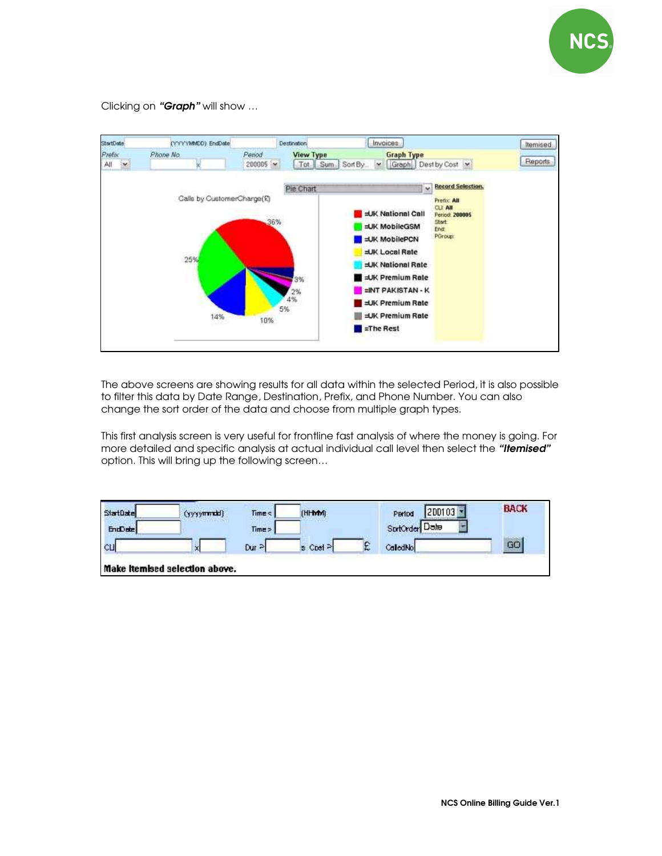

Clicking on "Graph" will show ...



The above screens are showing results for all data within the selected Period, it is also possible to filter this data by Date Range, Destination, Prefix, and Phone Number. You can also change the sort order of the data and choose from multiple graph types.

This first analysis screen is very useful for frontline fast analysis of where the money is going. For more detailed and specific analysis at actual individual call level then select the "Itemised" option. This will bring up the following screen…

| StartDate | (yyyymmald)                    | Time < | (HHMM)   |   | $200103 -$<br>Period | <b>BACK</b> |
|-----------|--------------------------------|--------|----------|---|----------------------|-------------|
| EndDate   |                                | Time > |          |   | SprtCrder Date       |             |
| CЦ        | ×                              | Dur Pl | s Cost P | £ | CaledNo              | GO          |
|           | Make itemised selection above. |        |          |   |                      |             |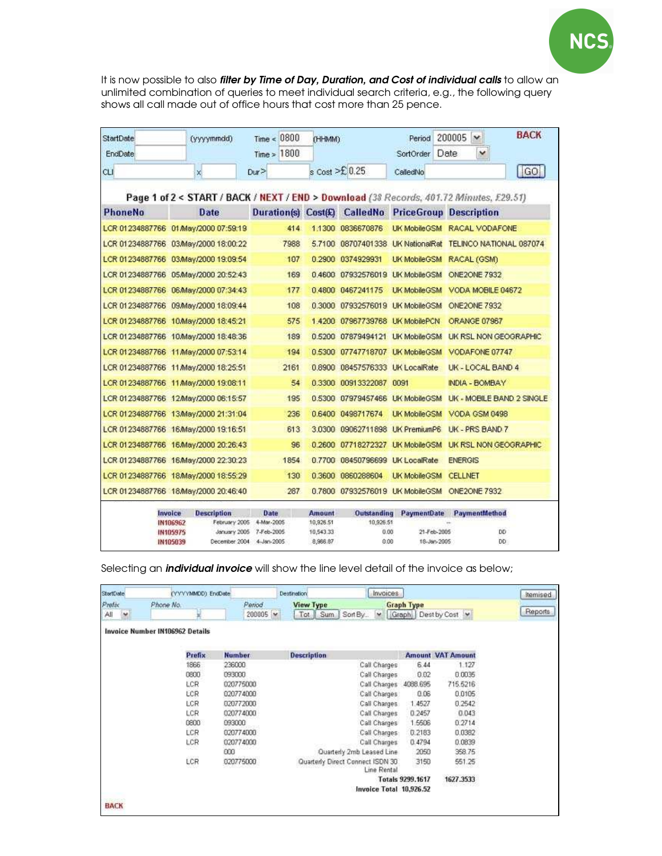

It is now possible to also filter by Time of Day, Duration, and Cost of individual calls to allow an unlimited combination of queries to meet individual search criteria, e.g., the following query shows all call made out of office hours that cost more than 25 pence.

| <b>StartDate</b> | (yyyymmdd)                                            | Time < 0800              | (HHMM)                 |                                   | Period              | <b>BACK</b><br>200005 →                                                                 |
|------------------|-------------------------------------------------------|--------------------------|------------------------|-----------------------------------|---------------------|-----------------------------------------------------------------------------------------|
| <b>EndDate</b>   |                                                       | Time > 1800              |                        |                                   | SortOrder           | $\checkmark$<br>Date                                                                    |
| <b>CLI</b>       | ×                                                     | Our                      |                        | $s$ Cost $\geq$ 0.25              | CalledNo            | $ $ GO                                                                                  |
|                  |                                                       |                          |                        |                                   |                     | Page 1 of 2 < START / BACK / NEXT / END > Download (38 Records, 401.72 Minutes, £29.51) |
| <b>PhoneNo</b>   | Date                                                  |                          |                        |                                   |                     | Duration(s) Cost(k) CalledNo PriceGroup Description                                     |
|                  | LCR 01234887766 01/May/2000 07:59:19                  | 414                      |                        | 1.1300 0836670876                 |                     | UK MobileGSM RACAL VODAFONE                                                             |
|                  | LCR 01234887766 03/May/2000 18:00:22                  | 7988                     |                        | 5.7100 08707401338 UK NationalRat |                     | TELINCO NATIONAL 087074                                                                 |
|                  | LCR 01234887766 03/May/2000 19:09:54                  | 107                      |                        | 0.2900 0374929931                 | <b>UK MobileGSM</b> | RACAL (GSM)                                                                             |
|                  | LCR 01234887766 05/May/2000 20:52:43                  | 169                      |                        | 0.4600 07932576019 UK MobileGSM   |                     | ONE2ONE 7932                                                                            |
|                  | LCR 01234887766 06/May/2000 07:34:43                  | 177                      |                        | 0.4800 0467241175                 | <b>UK MobileGSM</b> | VODA MOBILE 04672                                                                       |
|                  | LCR 01234887766 09/May/2000 18:09:44                  | 108                      |                        | 0.3000 07932576019 UK MobileGSM   |                     | ONE2ONE 7932                                                                            |
|                  | LCR 01234887766 10/May/2000 18:45:21                  | 575                      |                        | 1.4200 07967739768 UK MobilePCN   |                     | ORANGE 07967                                                                            |
|                  | LCR 01234887766 10/May/2000 18:48:36                  | 189                      |                        | 0.5200 07879494121 UK MobileGSM   |                     | <b>UK RSL NON GEOGRAPHIC</b>                                                            |
|                  | LCR 01234887766 11/May/2000 07:53:14                  | 194                      |                        | 0.5300 07747718707 LIK MobileGSM  |                     | VODAFONE 07747                                                                          |
|                  | LCR 01234887766 11/May/2000 18:25:51                  | 2161                     |                        | 0.8900 08457576333 UK LocaRate    |                     | UK - LOCAL BAND 4                                                                       |
|                  | LCR 01234887766 11/May/2000 19:08:11                  | 54                       |                        | 0.3300 00913322087 0091           |                     | INDIA - BOMBAY                                                                          |
|                  | LCR 01234887766 12/May/2000 06:15:57                  | 195                      |                        | 0.5300 07979457466 UK MobileGSM   |                     | <b>UK - MOBILE BAND 2 SINGLE</b>                                                        |
|                  | LCR 01234887766 13/May/2000 21:31:04                  | 236                      |                        | 0.6400 0498717674                 | <b>UK MobileGSM</b> | VODA GSM 0498                                                                           |
|                  | LCR 01234887766 16/May/2000 19:16:51                  | 613                      |                        | 3.0300 09062711898 UK PremiumP6   |                     | UK - PRS BAND 7                                                                         |
|                  | LCR 01234887766 16/May/2000 20:26:43                  | 96                       |                        | 0.2600 07718272327 UK MobileGSM   |                     | UK RSL NON GEOGRAPHIC                                                                   |
|                  | LCR 01234887766 16/May/2000 22:30:23                  | 1854                     |                        | 0.7700 08450796699 UK LocaRate    |                     | <b>ENERGIS</b>                                                                          |
|                  | LCR 01234887766 18/May/2000 18:55:29                  | 130                      |                        | 0.3600 0860288604                 | <b>UK MobileGSM</b> | <b>CELLNET</b>                                                                          |
|                  | LCR 01234887766 18/May/2000 20:46:40                  | 287                      |                        | 0.7800 07932576019 UK MobileGSM   |                     | ONE2ONE 7932                                                                            |
|                  | Invoice<br><b>Description</b>                         | Date                     | Amount                 | <b>Outstanding</b>                | <b>PaymentDate</b>  | PaymentMethod                                                                           |
|                  | IN106962<br>February 2005<br>January 2005<br>IN105975 | 4-Mar-2005<br>7-Feb-2005 | 10,926.51<br>10,543.33 | 10,926.51<br>0.00                 | 21-Feb-2005         | DD                                                                                      |
|                  | IN105039                                              | December 2004 4-Jan-2005 | 8,966.87               | 0.00                              | 18-Jan-2005         | <b>DD</b>                                                                               |

Selecting an *individual invoice* will show the line level detail of the invoice as below;

|                                        |                  |                                                 |                                                    |                                                                       | Itemised                                       |
|----------------------------------------|------------------|-------------------------------------------------|----------------------------------------------------|-----------------------------------------------------------------------|------------------------------------------------|
|                                        | $200005$ $\sim$  | Sort By<br>$\ddot{\phantom{1}}$<br>Tot Sum      |                                                    |                                                                       | Reports                                        |
| <b>Invoice Number IN106962 Details</b> |                  |                                                 |                                                    |                                                                       |                                                |
|                                        |                  |                                                 |                                                    |                                                                       |                                                |
| Prefix                                 | <b>Number</b>    | <b>Description</b>                              |                                                    |                                                                       |                                                |
| 1866                                   | 236000           | Call Charges                                    | 6.44                                               | 1.127                                                                 |                                                |
| 0800                                   | 093000           | Call Charges                                    | 0.02                                               | 0.0035                                                                |                                                |
| LCR                                    | 020775000        |                                                 | 4088.695                                           | 715.5216                                                              |                                                |
| LCR                                    | 020774000        | Call Charges:                                   | 0.06                                               | 0.0105                                                                |                                                |
| LCR                                    | 020772000        |                                                 | 1.4527                                             | 0.2542                                                                |                                                |
| LCR                                    | 020774000        | Call Charges                                    | 0.2457                                             | 0.043                                                                 |                                                |
| 0800                                   | 093000           | Call Charges                                    | 1,5506                                             | 0.2714                                                                |                                                |
| LCR                                    | 020774000        | Call Charges:                                   | 0.2183                                             | 0.0382                                                                |                                                |
| LCR                                    | 020774000        | Call Charges                                    | 0.4794                                             | 0.0839                                                                |                                                |
| ---                                    | 000              | Quarterly 2mb Leased Line                       | 2050                                               | 358.75                                                                |                                                |
|                                        | 020775000        | Quarterly Direct Connect ISDN 30<br>Line Rental | 3150                                               | 551.25                                                                |                                                |
|                                        |                  |                                                 |                                                    | 1627.3533                                                             |                                                |
|                                        |                  | Invoice Total 10,926.52                         |                                                    |                                                                       |                                                |
|                                        | Phone No.<br>LCR | (YYYYMMOD) EndDate<br>Period                    | Invoices<br><b>Destination</b><br><b>View Type</b> | <b>Graph Type</b><br>Call Charges<br>Call Charges<br>Totals 9299.1617 | Graph Dest by Cost<br><b>Amount VAT Amount</b> |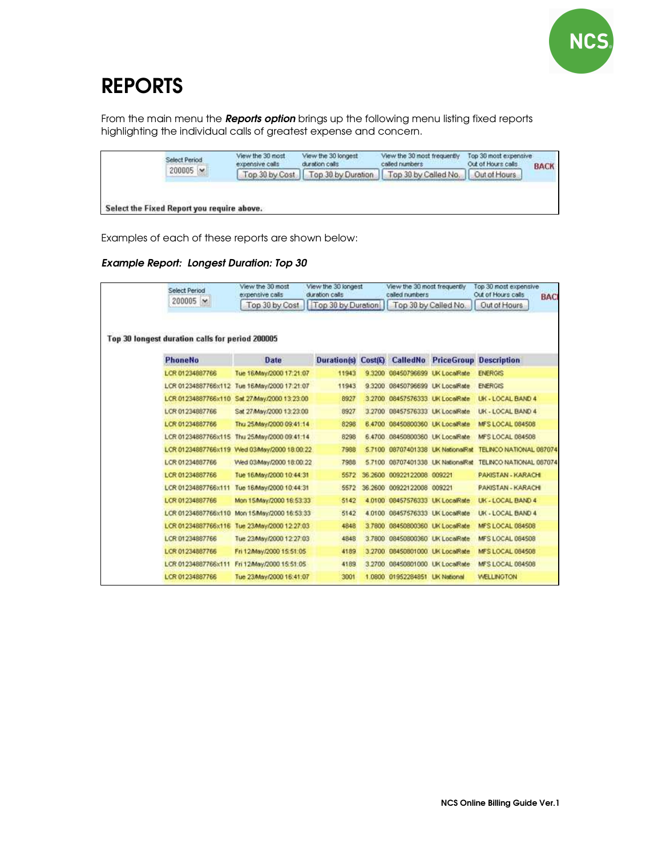

# REPORTS

From the main menu the Reports option brings up the following menu listing fixed reports highlighting the individual calls of greatest expense and concern.

| Select Period   | View the 30 most<br>View the 30 longest<br>duration calls<br>expensive calls |                    | View the 30 most frequently<br>called numbers | Top 30 most expensive<br>Out of Hours calls | <b>BACK</b> |
|-----------------|------------------------------------------------------------------------------|--------------------|-----------------------------------------------|---------------------------------------------|-------------|
| $200005 \times$ | Top 30 by Cost                                                               | Top 30 by Duration | Top 30 by Called No.                          | Out of Hours                                |             |
|                 |                                                                              |                    |                                               |                                             |             |
|                 |                                                                              |                    |                                               |                                             |             |
|                 | Select the Fixed Report you require above.                                   |                    |                                               |                                             |             |

Examples of each of these reports are shown below:

#### Example Report: Longest Duration: Top 30

| Select Period                                   | View the 30 most<br>expensive calls         | View the 30 longest<br>duration calls |                     | View the 30 most frequently<br>called numbers |                             | Top 30 most expensive<br>Out of Hours calls<br><b>BAC</b> |
|-------------------------------------------------|---------------------------------------------|---------------------------------------|---------------------|-----------------------------------------------|-----------------------------|-----------------------------------------------------------|
| 200005<br>$\mathbf{v}$                          | Top 30 by Cost                              | Top 30 by Duration                    |                     | Top 30 by Called No.                          |                             | Out of Hours                                              |
| Top 30 longest duration calls for period 200005 |                                             |                                       |                     |                                               |                             |                                                           |
| <b>PhoneNo</b>                                  | Date                                        | <b>Duration(s)</b>                    | Cost <sub>(£)</sub> | <b>CalledNo</b>                               |                             | <b>PriceGroup Description</b>                             |
| LCR 01234887766                                 | Tue 16/May/2000 17:21:07                    | 11943                                 | 9 3 2 0 0           | 08450796699                                   | <b>UK LocaRate</b>          | <b>ENERGIS</b>                                            |
|                                                 | LCR 01234887766x112 Tue 16May/2000 17:21:07 | 11943                                 | 9.3200              | 08450796699 UK LocaRate                       |                             | <b>ENERGIS</b>                                            |
| LCR 01234887766x110                             | Sat 27/May/2000 13:23:00                    | 8927                                  | 3.2700              | 08457576333 UK LocaRate                       |                             | UK - LOCAL BAND 4                                         |
| LCR 01234887766                                 | Sat 27/May/2000 13:23:00                    | 8927                                  | 3.2700              | 08457576333 UK LocaRate                       |                             | UK - LOCAL BAND 4                                         |
| LCR 01234887766                                 | Thu 25/May/2000 09:41:14                    | 8298                                  |                     | 6.4700 08450800360 UK LocaRate                |                             | <b>MFS LOCAL 084508</b>                                   |
| LCR 01234887766x115                             | Thu 25/May/2000 09:41:14                    | 8298                                  |                     | 6.4700 08450800360 UK LocaRate                |                             | MFS LOCAL 084508                                          |
|                                                 | LCR 01234887766x119 Wed 03May/2000 18:00:22 | 7988                                  | 57100               |                                               | 08707401338 LK NationalRat  | TELINCO NATIONAL 087074                                   |
| LCR 01234887768                                 | Wed 03/May/2000 18:00:22                    | 7988                                  | 5.7100              |                                               | 08707401338 LIK NationalRat | TELINCO NATIONAL 087674                                   |
| LCR 01234887766                                 | Tue 16/May/2000 10:44:31                    | 5572                                  | 36.2600             | 00922122008 009221                            |                             | PAKISTAN - KARACHI                                        |
| LCR 01234887766x111                             | Tue 16/May/2000 10:44:31                    | 5572                                  | 36,2600             | 00922122008 009221                            |                             | PAKISTAN - KARACHI                                        |
| LCR 01234887766                                 | Mon 15/May/2000 16:53:33                    | 5142                                  | 4.0100              | 08457576333 LK LocaRate                       |                             | UK - LOCAL BAND 4                                         |
| LCR 01234887766x110                             | Mon 15/May/2000 16:53:33                    | 5142                                  | 4.0100              | 08457576333 UK LocaRate                       |                             | UK - LOCAL BAND 4                                         |
| LCR 01234887766x116                             | Tue 23/May/2000 12:27:03                    | 4848                                  | 3.7800              | 08450800360 UK LocaRate                       |                             | <b>MFS LOCAL 084508</b>                                   |
| LCR 01234887766                                 | Tue 23/May/2000 12:27:03                    | 4848                                  | 3,7800              | 08450800360 UK LocaRate                       |                             | MFS LOCAL 084508                                          |
| LCR 01234887766                                 | Fri 12/May/2000 15:51:05                    | 4189                                  | 3.2700              | 08450801000 UK LocaRate                       |                             | <b>MFS LOCAL 084508</b>                                   |
| LCR 01234887766x111                             | Fri 12/May/2000 15:51:05                    | 4189                                  |                     | 3.2700 08450801000 UK LocaRate                |                             | <b>MFS LOCAL 084508</b>                                   |
| LCR 01234887766                                 | Tue 23/May/2000 16:41:07                    | 3001                                  | 1.0800              | 01952284851 LIK National                      |                             | <b>WELLINGTON</b>                                         |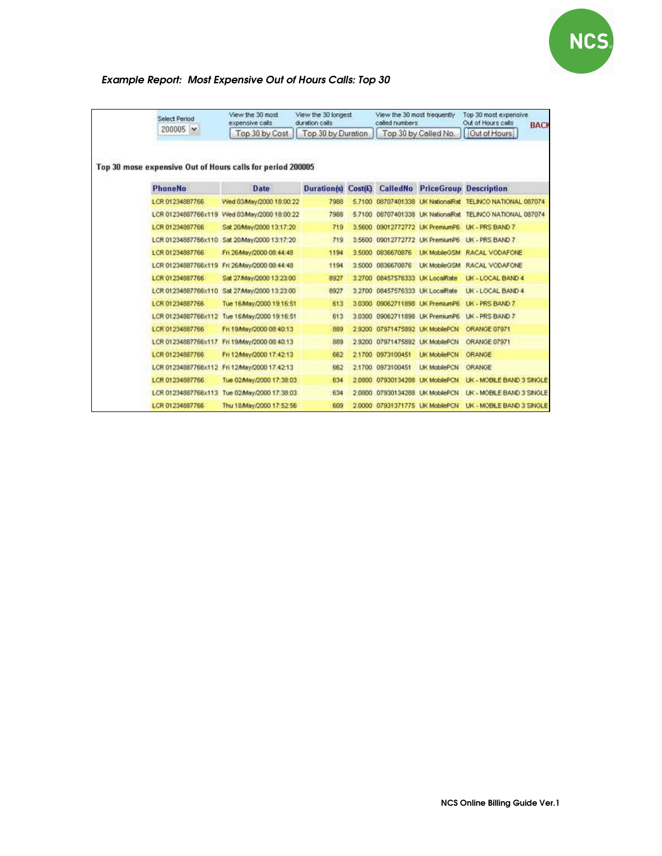

### Example Report: Most Expensive Out of Hours Calls: Top 30

| Select Period                                              | View the 30 most<br>expensive calls          | View the 30 longest<br>duration calls |        | View the 30 most trequently<br>called numbers |                                 | Top 30 most expensive<br>Out of Hours calls<br><b>BACK</b> |
|------------------------------------------------------------|----------------------------------------------|---------------------------------------|--------|-----------------------------------------------|---------------------------------|------------------------------------------------------------|
| 200005 V                                                   | Top 30 by Cost                               | Top 30 by Duration                    |        |                                               | Top 30 by Called No.            | Out of Hours                                               |
| Top 30 mose expensive Out of Hours calls for period 200005 |                                              |                                       |        |                                               |                                 |                                                            |
| <b>PhoneNo</b>                                             | Date                                         | <b>Duration(s) Cost(C)</b>            |        | CalledNo                                      |                                 | <b>PriceGroup Description</b>                              |
| LCR 01234887766                                            | Wed 03May/2000 18:00:22                      | 7988                                  |        |                                               |                                 | 5.7100 08707401338 UK NationalRat TELINCO NATIONAL 087074  |
|                                                            | LCR 01234887766x119 Wed 03May/2000 18:00:22  | 7988                                  |        |                                               |                                 | 5.7100 08707401338 UK NationalRat TELINCO NATIONAL 087074  |
| LCR 01234887786                                            | Sat 20/May/2000 13:17:20                     | 719                                   |        |                                               | 3.5600 09012772772 LW PremiumP6 | <b>UK - PRS BAND 7</b>                                     |
| LCR 01234887766x110                                        | Sat 20/May/2000 13:17:20                     | 719                                   |        |                                               | 3.5600 09012772772 UK PremiumP6 | LIK - PRS BAND 7                                           |
| LCR 01234887766                                            | Fri 26/May/2000.08:44:48                     | 1194                                  |        | 3,5000 0836670876                             | <b>LIK MobileGSM</b>            | RACAL VODAFONE                                             |
|                                                            | LCR 01234887766x119 Fri 26May/2000 08:44:48  | 1194                                  |        | 3,5000 0836670876                             | <b>LIK MobileGSM</b>            | RACAL VODAFONE                                             |
| LCR 01234887766                                            | Sat 27/May/2000 13:23:00                     | 8927                                  | 3.2700 |                                               | 08457576333 LW LocalRate        | LK - LOCAL BAND 4                                          |
| LCR 01234887766x110                                        | Sat 27/May/2000 13:23:00                     | 8927                                  |        | 3.2700 08457576333 LIK LocalRate              |                                 | <b>UK - LOCAL BAND 4</b>                                   |
| LCR 01234887766                                            | Tue 16/May/2000 19:16:51                     | 613                                   |        |                                               | 3.0300 09062711898 UK PremiumP6 | <b>UK - PRS BAND 7</b>                                     |
| LCR 01234887766x112                                        | Tue 16/May/2000 19:16:51                     | 613                                   |        |                                               | 3.0300 09062711898 UK PremiumP6 | <b>UK - PRS BAND 7</b>                                     |
| LCR 01234887766                                            | Fri 19/May/2000 08:40:13                     | 889                                   |        |                                               | 2.9200 07971475892 LK MobilePCN | ORANGE 07971                                               |
| LCR 01234887766x117                                        | Fri 19/May/2000 08:40:13                     | 889                                   |        |                                               | 2.9200 07971475892 UK MobilePCN | ORANGE 07971                                               |
| LCR 01234887766                                            | Fri 12/May/2000 17:42:13                     | 662                                   |        | 2.1700 0973100451                             | <b>UK MobilePCN</b>             | ORANGE                                                     |
|                                                            | LCR 01234887766x112 Fri 12/May/2000 17:42:13 | 662                                   |        | 2.1700 0973100451                             | <b>LIK MobilePCN</b>            | ORANGE                                                     |
| LCR 01234887766                                            | Tue 02/May/2000 17:38:03                     | 634                                   |        | 2.0800 07930134288                            | <b>UK MobilePCN</b>             | UK - MOBILE BAND 3 SINGLE                                  |
|                                                            | LCR 01234887766x113 Tue 02May/2000 17:38:03  | 634                                   |        | 2,0800 07930134288                            | LIK MobilePCN                   | LIK - MOBILE BAND 3 SINGLE                                 |
| LCR 01234887766                                            | Thu 18/May/2000 17:52:56                     | 609                                   |        |                                               | 2.0000 07931371775 LK MobilePCN | LIK - MOBILE BAND 3 SINGLE                                 |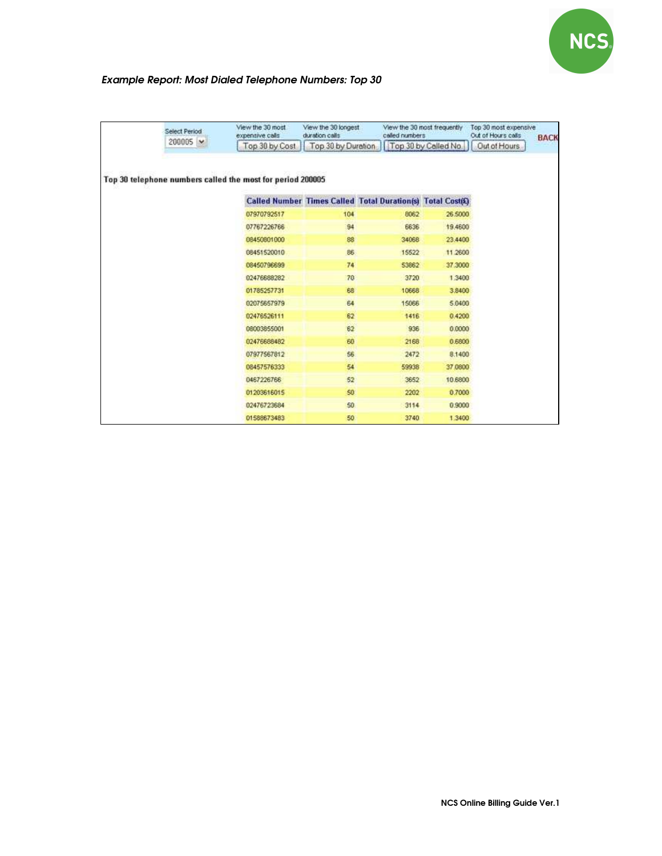

### Example Report: Most Dialed Telephone Numbers: Top 30

| Select Period | View the 30 most<br>expensive calls                        | View the 30 longest<br>duration calls | called numbers                                             | View the 30 most frequently | Top 30 most expensive<br>Out of Hours calls<br>Out of Hours | <b>BACK</b> |
|---------------|------------------------------------------------------------|---------------------------------------|------------------------------------------------------------|-----------------------------|-------------------------------------------------------------|-------------|
| 200005 M      | Top 30 by Cost                                             | Top 30 by Duration                    |                                                            | Top 30 by Called No.        |                                                             |             |
|               | Top 30 telephone numbers called the most for period 200005 |                                       |                                                            |                             |                                                             |             |
|               |                                                            |                                       | Called Number Times Called Total Duration(s) Total Cost(£) |                             |                                                             |             |
|               | 07970792517                                                | 104                                   | 8062                                                       | 26,5000                     |                                                             |             |
|               | 07767226766                                                | 94                                    | 6636                                                       | 19,4600                     |                                                             |             |
|               | 08450801000                                                | 88                                    | 34068                                                      | 23.4400                     |                                                             |             |
|               | 08451520010                                                | 86                                    | 15522                                                      | 11.2600                     |                                                             |             |
|               | 08450796699                                                | 74                                    | 53862                                                      | 37.3000                     |                                                             |             |
|               | 02476688282                                                | 70                                    | 3720                                                       | 1,3400                      |                                                             |             |
|               | 01785257731                                                | 68                                    | 10668                                                      | 3.8400                      |                                                             |             |
|               | 02075657979                                                | 64                                    | 15066                                                      | 5.0400                      |                                                             |             |
|               | 02476526111                                                | 62                                    | 1416                                                       | 0.4200                      |                                                             |             |
|               | 08003855001                                                | 62                                    | 936                                                        | 0.0000                      |                                                             |             |
|               | 02476688482                                                | 60                                    | 2168                                                       | 0.6800                      |                                                             |             |
|               | 07977567812                                                | 56                                    | 2472                                                       | 8.1400                      |                                                             |             |
|               | 08457576333                                                | 54                                    | 59938                                                      | 37,0800                     |                                                             |             |
|               | 0467226766                                                 | 52                                    | 3652                                                       | 10.6800                     |                                                             |             |
|               | 01203616015                                                | 50                                    | 2202                                                       | 0.7000                      |                                                             |             |
|               | 02476723684                                                | 50 <sub>1</sub>                       | 3114                                                       | 0.9000                      |                                                             |             |
|               | 01588673483                                                | 50                                    | 3740                                                       | 1 3400                      |                                                             |             |